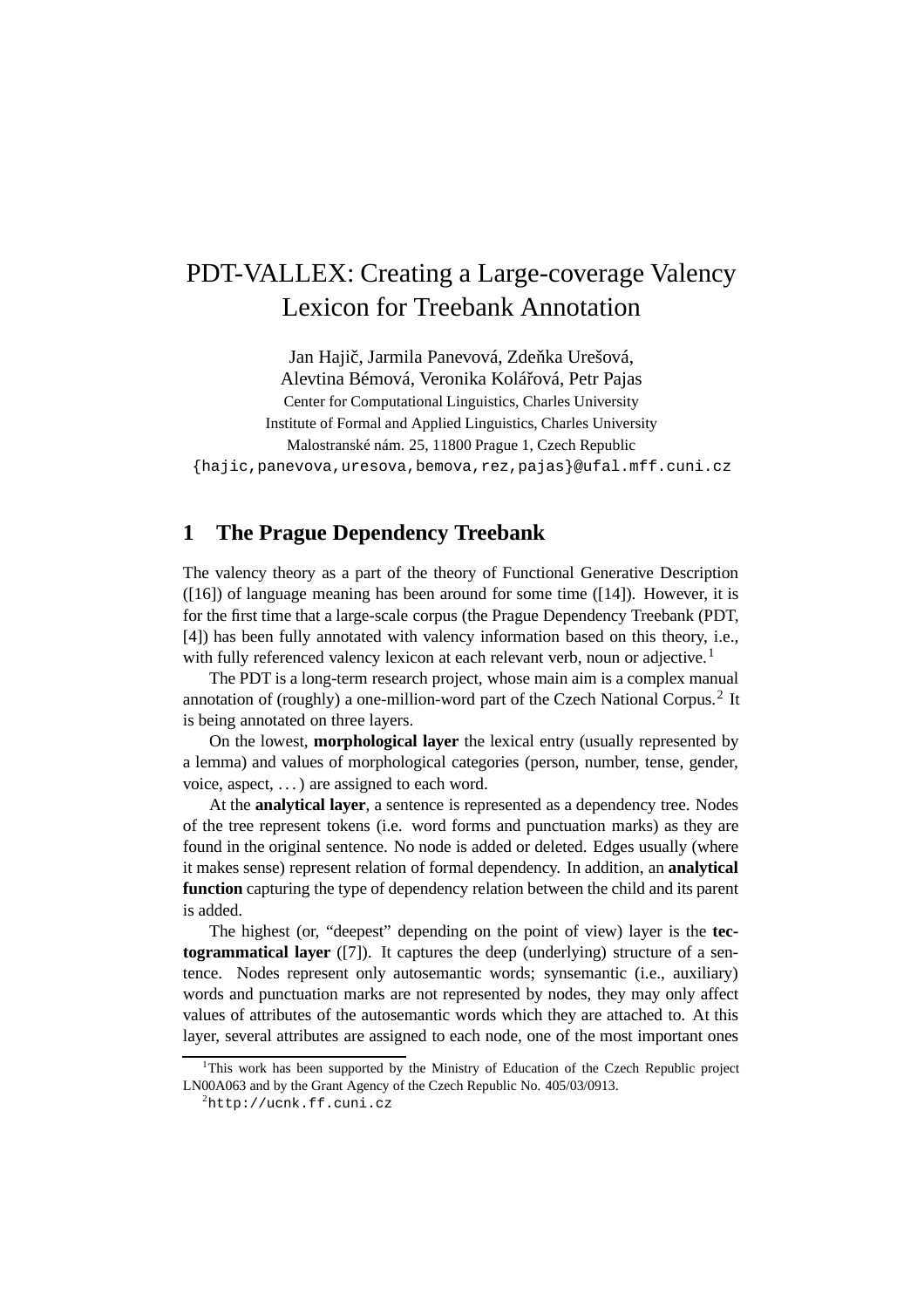# PDT-VALLEX: Creating a Large-coverage Valency Lexicon for Treebank Annotation

Jan Hajič, Jarmila Panevová, Zdeňka Urešová, Alevtina Bémová, Veronika Kolářová, Petr Pajas Center for Computational Linguistics, Charles University Institute of Formal and Applied Linguistics, Charles University Malostranské nám. 25, 11800 Prague 1, Czech Republic

{hajic,panevova,uresova,bemova,rez,pajas}@ufal.mff.cuni.cz

## **1 The Prague Dependency Treebank**

The valency theory as a part of the theory of Functional Generative Description ([16]) of language meaning has been around for some time ([14]). However, it is for the first time that a large-scale corpus (the Prague Dependency Treebank (PDT, [4]) has been fully annotated with valency information based on this theory, i.e., with fully referenced valency lexicon at each relevant verb, noun or adjective.<sup>1</sup>

The PDT is a long-term research project, whose main aim is a complex manual annotation of (roughly) a one-million-word part of the Czech National Corpus.<sup>2</sup> It is being annotated on three layers.

On the lowest, **morphological layer** the lexical entry (usually represented by a lemma) and values of morphological categories (person, number, tense, gender, voice, aspect, . . .) are assigned to each word.

At the **analytical layer**, a sentence is represented as a dependency tree. Nodes of the tree represent tokens (i.e. word forms and punctuation marks) as they are found in the original sentence. No node is added or deleted. Edges usually (where it makes sense) represent relation of formal dependency. In addition, an **analytical function** capturing the type of dependency relation between the child and its parent is added.

The highest (or, "deepest" depending on the point of view) layer is the **tectogrammatical layer** ([7]). It captures the deep (underlying) structure of a sentence. Nodes represent only autosemantic words; synsemantic (i.e., auxiliary) words and punctuation marks are not represented by nodes, they may only affect values of attributes of the autosemantic words which they are attached to. At this layer, several attributes are assigned to each node, one of the most important ones

 $1$ This work has been supported by the Ministry of Education of the Czech Republic project LN00A063 and by the Grant Agency of the Czech Republic No. 405/03/0913.

<sup>2</sup>http://ucnk.ff.cuni.cz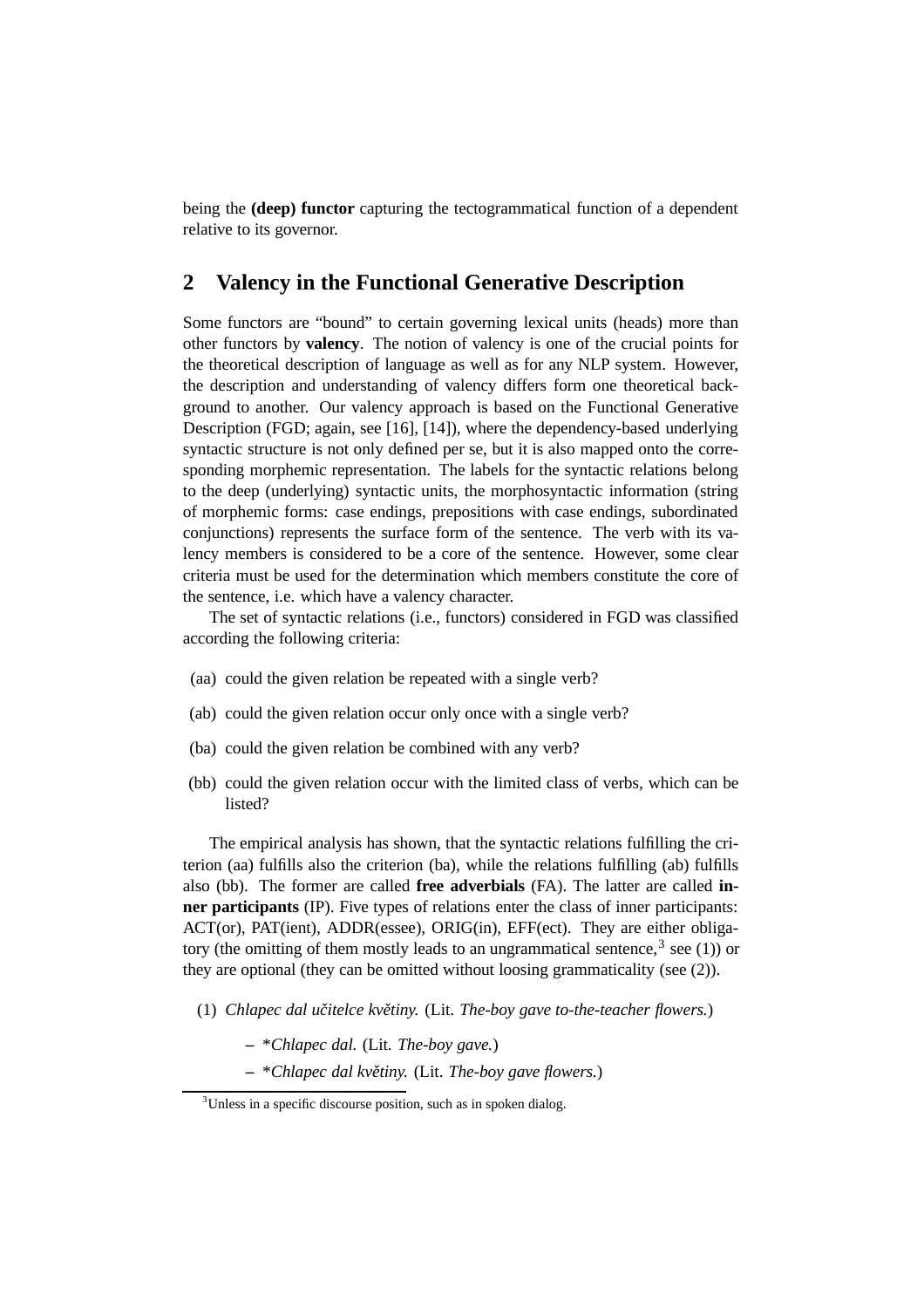being the **(deep) functor** capturing the tectogrammatical function of a dependent relative to its governor.

## **2 Valency in the Functional Generative Description**

Some functors are "bound" to certain governing lexical units (heads) more than other functors by **valency**. The notion of valency is one of the crucial points for the theoretical description of language as well as for any NLP system. However, the description and understanding of valency differs form one theoretical background to another. Our valency approach is based on the Functional Generative Description (FGD; again, see [16], [14]), where the dependency-based underlying syntactic structure is not only defined per se, but it is also mapped onto the corresponding morphemic representation. The labels for the syntactic relations belong to the deep (underlying) syntactic units, the morphosyntactic information (string of morphemic forms: case endings, prepositions with case endings, subordinated conjunctions) represents the surface form of the sentence. The verb with its valency members is considered to be a core of the sentence. However, some clear criteria must be used for the determination which members constitute the core of the sentence, i.e. which have a valency character.

The set of syntactic relations (i.e., functors) considered in FGD was classified according the following criteria:

- (aa) could the given relation be repeated with a single verb?
- (ab) could the given relation occur only once with a single verb?
- (ba) could the given relation be combined with any verb?
- (bb) could the given relation occur with the limited class of verbs, which can be listed?

The empirical analysis has shown, that the syntactic relations fulfilling the criterion (aa) fulfills also the criterion (ba), while the relations fulfilling (ab) fulfills also (bb). The former are called **free adverbials** (FA). The latter are called **inner participants** (IP). Five types of relations enter the class of inner participants: ACT(or), PAT(ient), ADDR(essee), ORIG(in), EFF(ect). They are either obligatory (the omitting of them mostly leads to an ungrammatical sentence,  $3$  see (1)) or they are optional (they can be omitted without loosing grammaticality (see (2)).

- (1) *Chlapec dal ucitelce ˇ kvetiny ˇ .* (Lit. *The-boy gave to-the-teacher flowers.*)
	- **–** \**Chlapec dal.* (Lit. *The-boy gave.*)
	- **–** \**Chlapec dal kvetiny ˇ .* (Lit. *The-boy gave flowers.*)

 $3$ Unless in a specific discourse position, such as in spoken dialog.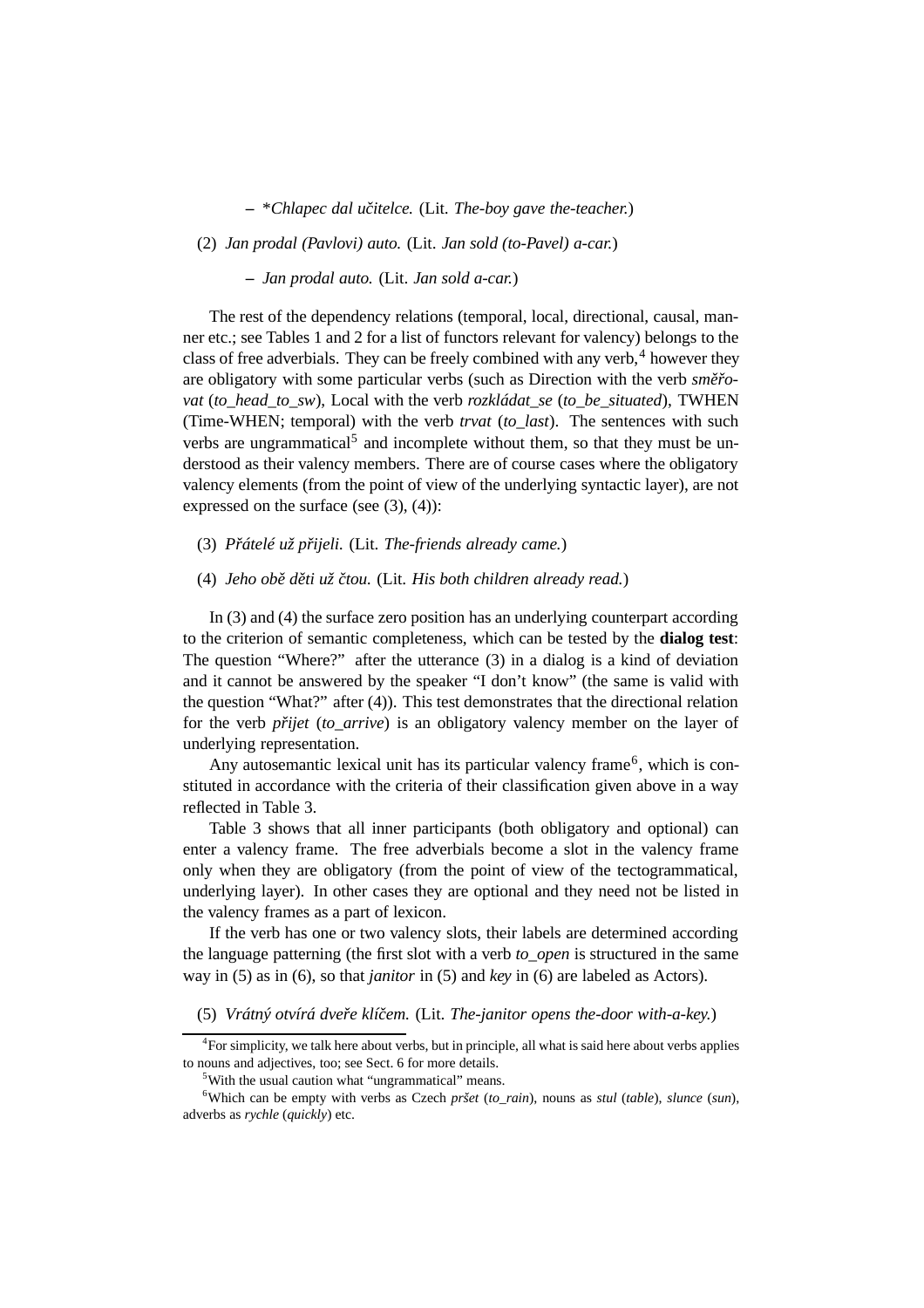**–** \**Chlapec dal ucitelce ˇ .* (Lit. *The-boy gave the-teacher.*)

(2) *Jan prodal (Pavlovi) auto.* (Lit. *Jan sold (to-Pavel) a-car.*)

**–** *Jan prodal auto.* (Lit. *Jan sold a-car.*)

The rest of the dependency relations (temporal, local, directional, causal, manner etc.; see Tables 1 and 2 for a list of functors relevant for valency) belongs to the class of free adverbials. They can be freely combined with any verb, $4$  however they are obligatory with some particular verbs (such as Direction with the verb  $sm\check{e}$ ro*vat* (*to\_head\_to\_sw*), Local with the verb *rozkládat\_se* (*to\_be\_situated*), TWHEN (Time-WHEN; temporal) with the verb *trvat* (*to\_last*). The sentences with such verbs are ungrammatical<sup>5</sup> and incomplete without them, so that they must be understood as their valency members. There are of course cases where the obligatory valency elements (from the point of view of the underlying syntactic layer), are not expressed on the surface (see  $(3)$ ,  $(4)$ ):

(3) *Prátelé ˇ už prijeli. ˇ* (Lit. *The-friends already came.*)

#### (4) *Jeho obeˇ deti ˇ už ctou. ˇ* (Lit. *His both children already read.*)

In (3) and (4) the surface zero position has an underlying counterpart according to the criterion of semantic completeness, which can be tested by the **dialog test**: The question "Where?" after the utterance (3) in a dialog is a kind of deviation and it cannot be answered by the speaker "I don't know" (the same is valid with the question "What?" after (4)). This test demonstrates that the directional relation for the verb *prijet* (*to arrive*) is an obligatory valency member on the layer of underlying representation.

Any autosemantic lexical unit has its particular valency frame<sup>6</sup>, which is constituted in accordance with the criteria of their classification given above in a way reflected in Table 3.

Table 3 shows that all inner participants (both obligatory and optional) can enter a valency frame. The free adverbials become a slot in the valency frame only when they are obligatory (from the point of view of the tectogrammatical, underlying layer). In other cases they are optional and they need not be listed in the valency frames as a part of lexicon.

If the verb has one or two valency slots, their labels are determined according the language patterning (the first slot with a verb *to\_open* is structured in the same way in (5) as in (6), so that *janitor* in (5) and *key* in (6) are labeled as Actors).

(5) *Vrátný otvírá dvereˇ klícem. ˇ* (Lit. *The-janitor opens the-door with-a-key.*)

<sup>&</sup>lt;sup>4</sup>For simplicity, we talk here about verbs, but in principle, all what is said here about verbs applies to nouns and adjectives, too; see Sect. 6 for more details.

<sup>5</sup>With the usual caution what "ungrammatical" means.

<sup>6</sup>Which can be empty with verbs as Czech *pršet* (*to\_rain*), nouns as *stul* (*table*), *slunce* (*sun*), adverbs as *rychle* (*quickly*) etc.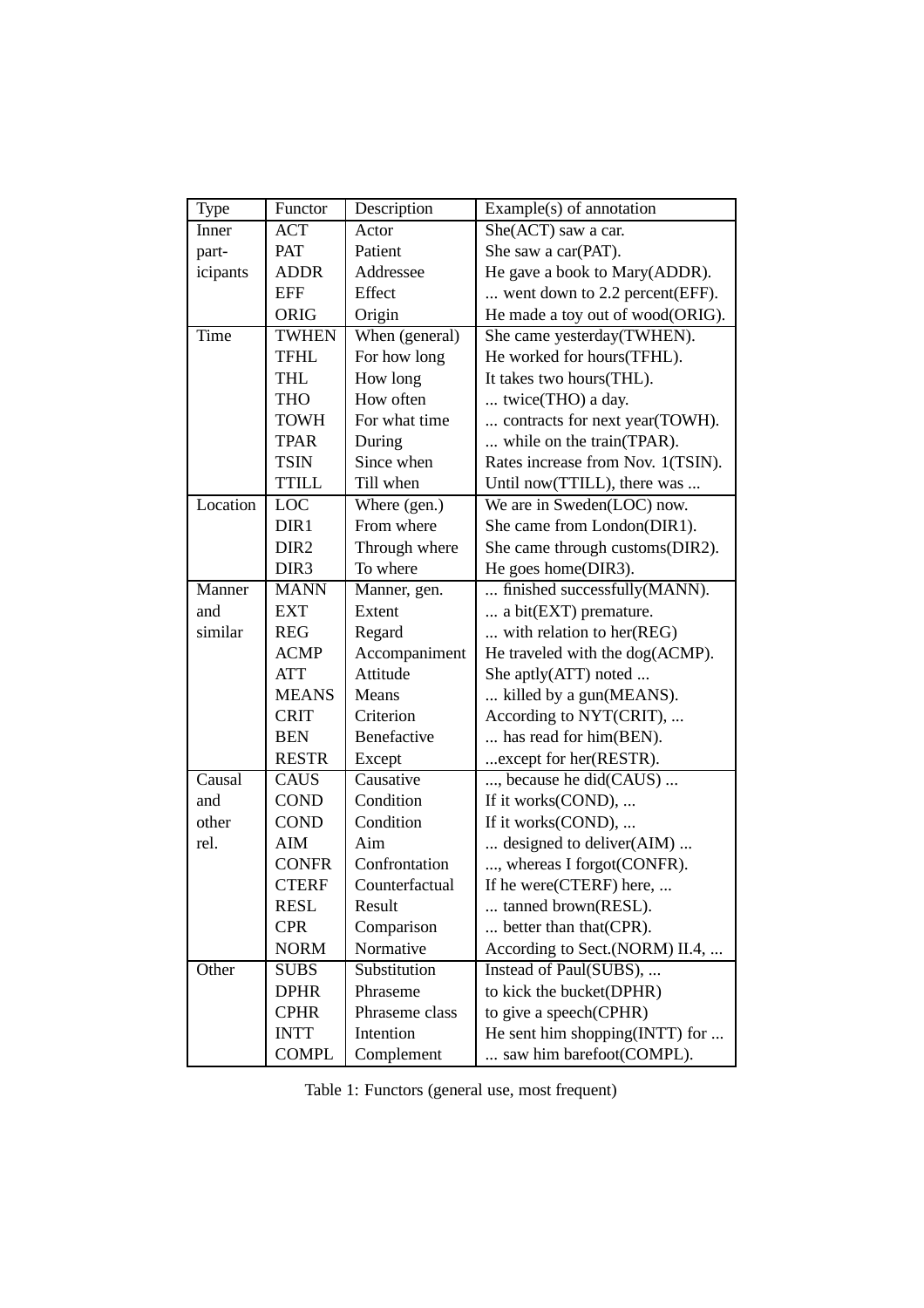| Type     | Functor          | Description    | Example(s) of annotation          |  |
|----------|------------------|----------------|-----------------------------------|--|
| Inner    | <b>ACT</b>       | Actor          | She(ACT) saw a car.               |  |
| part-    | <b>PAT</b>       | Patient        | She saw a car(PAT).               |  |
| icipants | <b>ADDR</b>      | Addressee      | He gave a book to Mary(ADDR).     |  |
|          | <b>EFF</b>       | Effect         | went down to 2.2 percent(EFF).    |  |
|          | <b>ORIG</b>      | Origin         | He made a toy out of wood(ORIG).  |  |
| Time     | <b>TWHEN</b>     | When (general) | She came yesterday(TWHEN).        |  |
|          | <b>TFHL</b>      | For how long   | He worked for hours(TFHL).        |  |
|          | <b>THL</b>       | How long       | It takes two hours (THL).         |  |
|          | <b>THO</b>       | How often      | twice(THO) a day.                 |  |
|          | <b>TOWH</b>      | For what time  | contracts for next year(TOWH).    |  |
|          | <b>TPAR</b>      | During         | while on the train(TPAR).         |  |
|          | <b>TSIN</b>      | Since when     | Rates increase from Nov. 1(TSIN). |  |
|          | <b>TTILL</b>     | Till when      | Until now(TTILL), there was       |  |
| Location | LOC              | Where (gen.)   | We are in Sweden(LOC) now.        |  |
|          | DIR1             | From where     | She came from London(DIR1).       |  |
|          | DIR <sub>2</sub> | Through where  | She came through customs(DIR2).   |  |
|          | DIR <sub>3</sub> | To where       | He goes home(DIR3).               |  |
| Manner   | <b>MANN</b>      | Manner, gen.   | finished successfully(MANN).      |  |
| and      | <b>EXT</b>       | Extent         | a bit(EXT) premature.             |  |
| similar  | <b>REG</b>       | Regard         | with relation to her(REG)         |  |
|          | <b>ACMP</b>      | Accompaniment  | He traveled with the dog(ACMP).   |  |
|          | <b>ATT</b>       | Attitude       | She aptly(ATT) noted              |  |
|          | <b>MEANS</b>     | Means          | killed by a gun(MEANS).           |  |
|          | <b>CRIT</b>      | Criterion      | According to NYT(CRIT),           |  |
|          | <b>BEN</b>       | Benefactive    | has read for him(BEN).            |  |
|          | <b>RESTR</b>     | Except         | except for her (RESTR).           |  |
| Causal   | <b>CAUS</b>      | Causative      | , because he did(CAUS)            |  |
| and      | <b>COND</b>      | Condition      | If it works(COND),                |  |
| other    | <b>COND</b>      | Condition      | If it works(COND),                |  |
| rel.     | <b>AIM</b>       | Aim            | designed to deliver(AIM)          |  |
|          | <b>CONFR</b>     | Confrontation  | , whereas I forgot(CONFR).        |  |
|          | <b>CTERF</b>     | Counterfactual | If he were(CTERF) here,           |  |
|          | <b>RESL</b>      | Result         | tanned brown(RESL).               |  |
|          | <b>CPR</b>       | Comparison     | better than that (CPR).           |  |
|          | <b>NORM</b>      | Normative      | According to Sect.(NORM) II.4,    |  |
| Other    | <b>SUBS</b>      | Substitution   | Instead of Paul(SUBS),            |  |
|          | <b>DPHR</b>      | Phraseme       | to kick the bucket(DPHR)          |  |
|          | <b>CPHR</b>      | Phraseme class | to give a speech(CPHR)            |  |
|          | <b>INTT</b>      | Intention      | He sent him shopping(INTT) for    |  |
|          | <b>COMPL</b>     | Complement     | saw him barefoot(COMPL).          |  |

Table 1: Functors (general use, most frequent)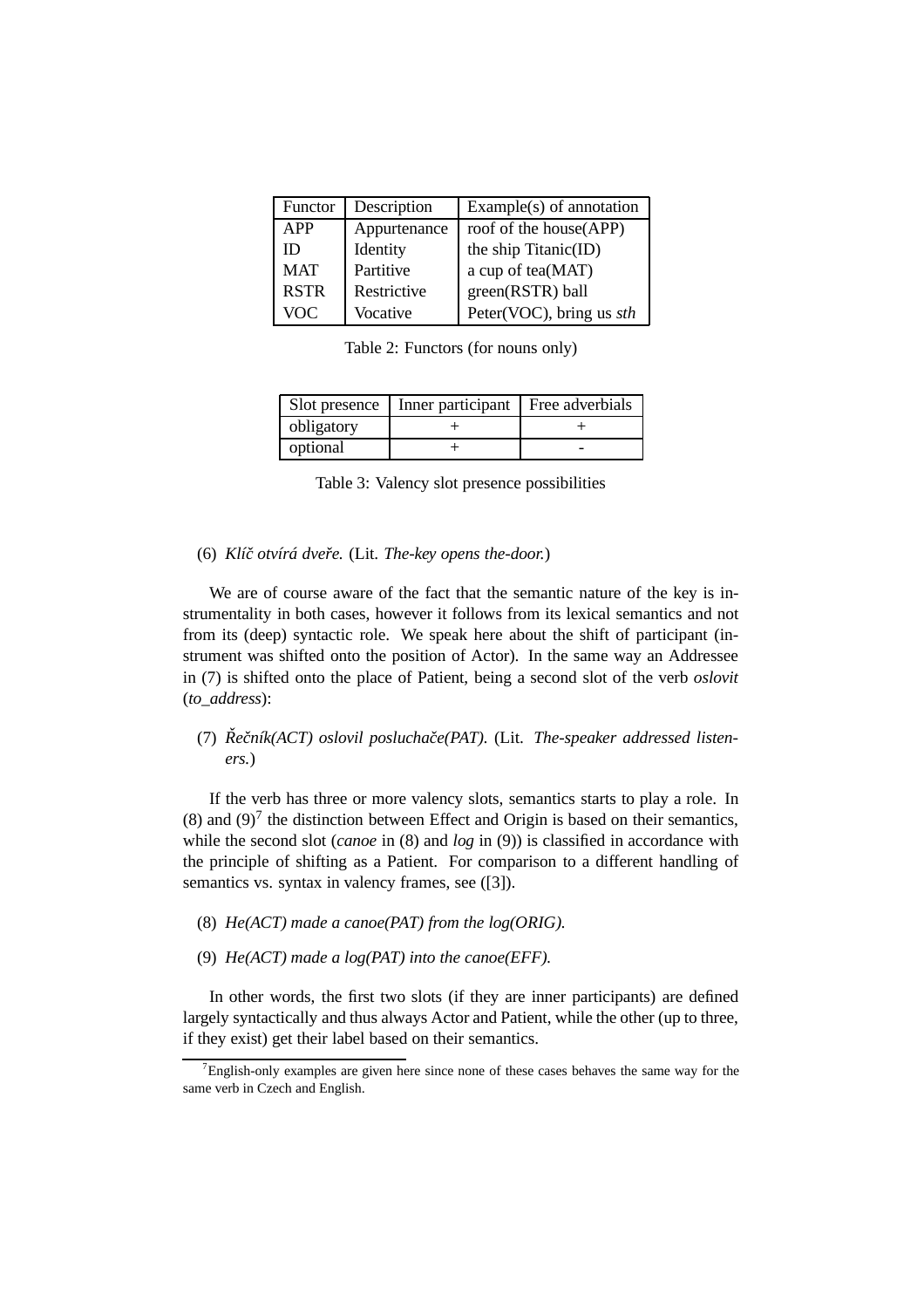| Functor     | Description  | Example $(s)$ of annotation |
|-------------|--------------|-----------------------------|
| <b>APP</b>  | Appurtenance | roof of the house(APP)      |
| ID          | Identity     | the ship Titanic(ID)        |
| <b>MAT</b>  | Partitive    | a cup of tea(MAT)           |
| <b>RSTR</b> | Restrictive  | green(RSTR) ball            |
| <b>VOC</b>  | Vocative     | Peter(VOC), bring us sth    |

Table 2: Functors (for nouns only)

| Solt presence | Inner participant Free adverbials |  |
|---------------|-----------------------------------|--|
| obligatory    |                                   |  |
| optional      |                                   |  |

Table 3: Valency slot presence possibilities

#### (6) *Klícˇ otvírá dvereˇ .* (Lit. *The-key opens the-door.*)

We are of course aware of the fact that the semantic nature of the key is instrumentality in both cases, however it follows from its lexical semantics and not from its (deep) syntactic role. We speak here about the shift of participant (instrument was shifted onto the position of Actor). In the same way an Addressee in (7) is shifted onto the place of Patient, being a second slot of the verb *oslovit* (*to\_address*):

#### (7) *Reˇ cník(A ˇ CT) oslovil posluchace(P ˇ AT).* (Lit. *The-speaker addressed listeners.*)

If the verb has three or more valency slots, semantics starts to play a role. In (8) and (9)<sup>7</sup> the distinction between Effect and Origin is based on their semantics, while the second slot (*canoe* in (8) and *log* in (9)) is classified in accordance with the principle of shifting as a Patient. For comparison to a different handling of semantics vs. syntax in valency frames, see ([3]).

- (8) *He(ACT) made a canoe(PAT) from the log(ORIG).*
- (9) *He(ACT) made a log(PAT) into the canoe(EFF).*

In other words, the first two slots (if they are inner participants) are defined largely syntactically and thus always Actor and Patient, while the other (up to three, if they exist) get their label based on their semantics.

 $7$ English-only examples are given here since none of these cases behaves the same way for the same verb in Czech and English.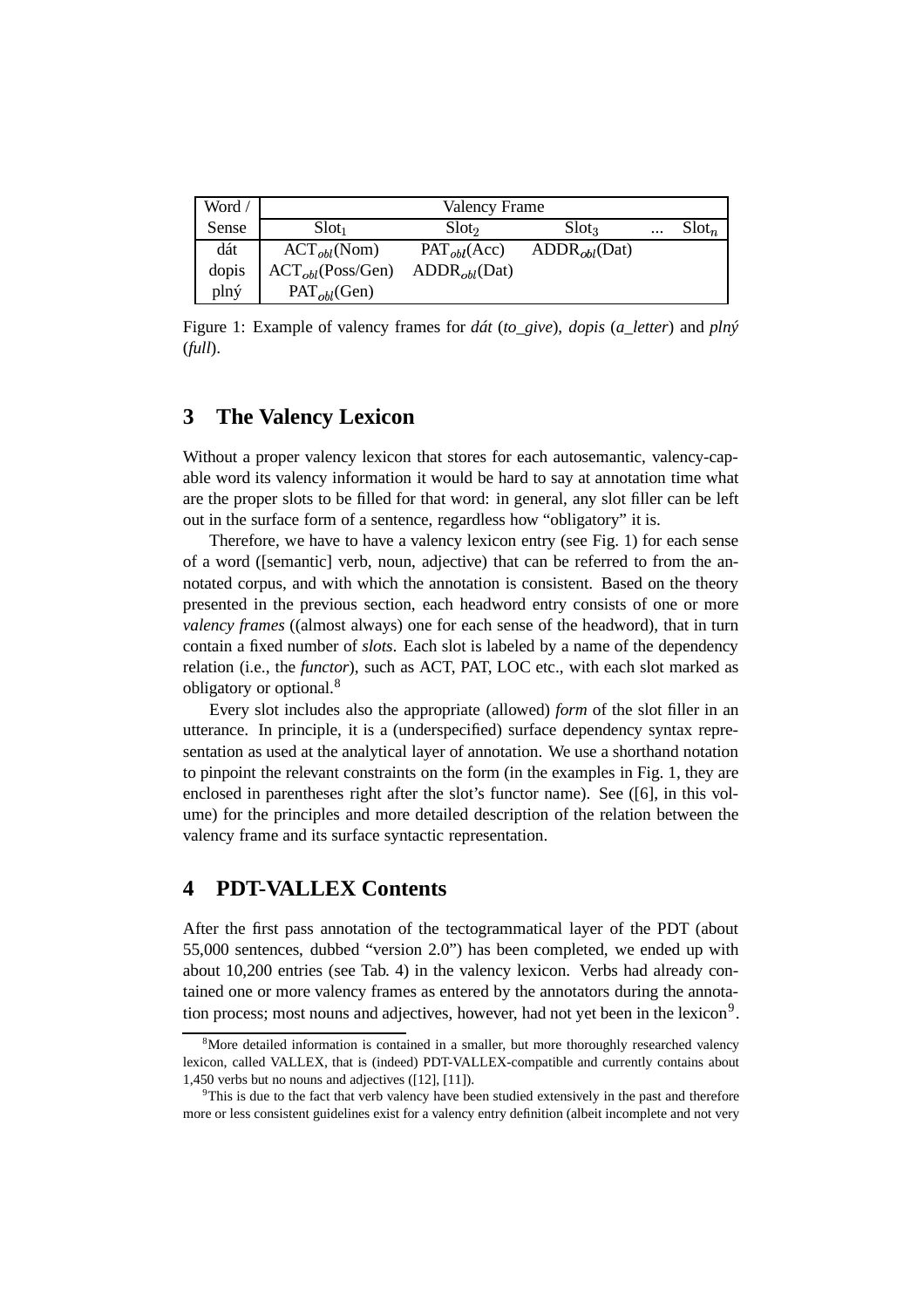| Word / | Valency Frame         |                                              |                                     |          |                 |
|--------|-----------------------|----------------------------------------------|-------------------------------------|----------|-----------------|
| Sense  | $Slot_1$              | Slot <sub>2</sub>                            | Slot <sub>3</sub>                   | $\cdots$ | $\text{Slot}_n$ |
| dát    | $ACT_{obl}(Nom)$      | $PAT_{obl}(Acc)$                             | $\mathrm{ADDR}_{obl}(\mathrm{Dat})$ |          |                 |
| dopis  | $ACT_{obl}(Poss/Gen)$ | $\mathrm{ADDR}_{\textit{obl}}(\mathrm{Dat})$ |                                     |          |                 |
| plný   | $PAT_{obl}(Gen)$      |                                              |                                     |          |                 |

Figure 1: Example of valency frames for *dát* (*to\_give*), *dopis* (*a\_letter*) and *plný* (*full*).

## **3 The Valency Lexicon**

Without a proper valency lexicon that stores for each autosemantic, valency-capable word its valency information it would be hard to say at annotation time what are the proper slots to be filled for that word: in general, any slot filler can be left out in the surface form of a sentence, regardless how "obligatory" it is.

Therefore, we have to have a valency lexicon entry (see Fig. 1) for each sense of a word ([semantic] verb, noun, adjective) that can be referred to from the annotated corpus, and with which the annotation is consistent. Based on the theory presented in the previous section, each headword entry consists of one or more *valency frames* ((almost always) one for each sense of the headword), that in turn contain a fixed number of *slots*. Each slot is labeled by a name of the dependency relation (i.e., the *functor*), such as ACT, PAT, LOC etc., with each slot marked as obligatory or optional.<sup>8</sup>

Every slot includes also the appropriate (allowed) *form* of the slot filler in an utterance. In principle, it is a (underspecified) surface dependency syntax representation as used at the analytical layer of annotation. We use a shorthand notation to pinpoint the relevant constraints on the form (in the examples in Fig. 1, they are enclosed in parentheses right after the slot's functor name). See ([6], in this volume) for the principles and more detailed description of the relation between the valency frame and its surface syntactic representation.

## **4 PDT-VALLEX Contents**

After the first pass annotation of the tectogrammatical layer of the PDT (about 55,000 sentences, dubbed "version 2.0") has been completed, we ended up with about 10,200 entries (see Tab. 4) in the valency lexicon. Verbs had already contained one or more valency frames as entered by the annotators during the annotation process; most nouns and adjectives, however, had not yet been in the lexicon<sup>9</sup>.

<sup>&</sup>lt;sup>8</sup>More detailed information is contained in a smaller, but more thoroughly researched valency lexicon, called VALLEX, that is (indeed) PDT-VALLEX-compatible and currently contains about 1,450 verbs but no nouns and adjectives ([12], [11]).

<sup>&</sup>lt;sup>9</sup>This is due to the fact that verb valency have been studied extensively in the past and therefore more or less consistent guidelines exist for a valency entry definition (albeit incomplete and not very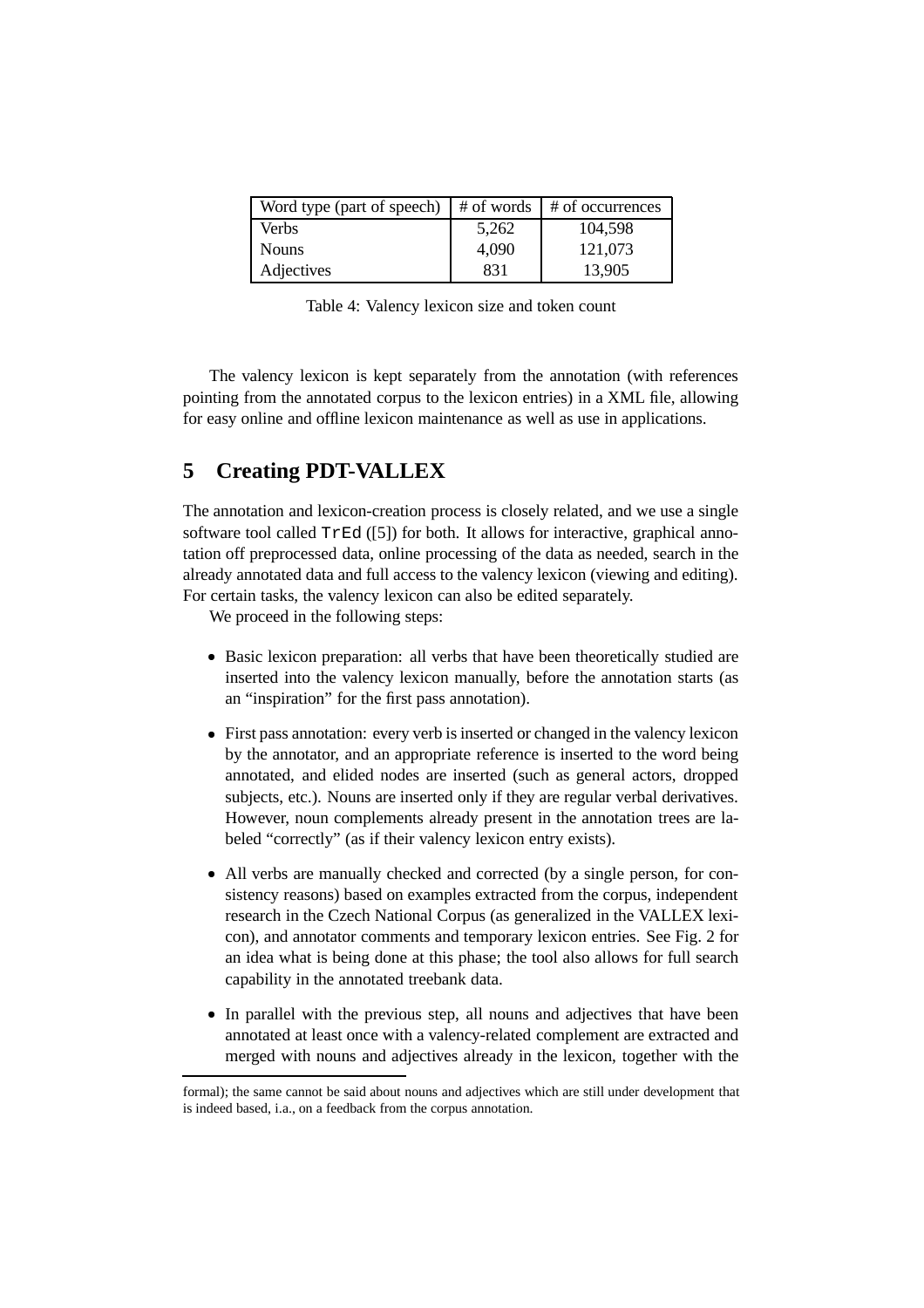| Word type (part of speech) $\mid \#$ of words $\mid \#$ of occurrences |       |         |
|------------------------------------------------------------------------|-------|---------|
| <b>Verbs</b>                                                           | 5,262 | 104,598 |
| <b>Nouns</b>                                                           | 4.090 | 121,073 |
| Adjectives                                                             | 831   | 13,905  |

Table 4: Valency lexicon size and token count

The valency lexicon is kept separately from the annotation (with references pointing from the annotated corpus to the lexicon entries) in a XML file, allowing for easy online and offline lexicon maintenance as well as use in applications.

# **5 Creating PDT-VALLEX**

The annotation and lexicon-creation process is closely related, and we use a single software tool called  $TrEd$  ([5]) for both. It allows for interactive, graphical annotation off preprocessed data, online processing of the data as needed, search in the already annotated data and full access to the valency lexicon (viewing and editing). For certain tasks, the valency lexicon can also be edited separately.

We proceed in the following steps:

- Basic lexicon preparation: all verbs that have been theoretically studied are inserted into the valency lexicon manually, before the annotation starts (as an "inspiration" for the first pass annotation).
- First pass annotation: every verb is inserted or changed in the valency lexicon by the annotator, and an appropriate reference is inserted to the word being annotated, and elided nodes are inserted (such as general actors, dropped subjects, etc.). Nouns are inserted only if they are regular verbal derivatives. However, noun complements already present in the annotation trees are labeled "correctly" (as if their valency lexicon entry exists).
- All verbs are manually checked and corrected (by a single person, for consistency reasons) based on examples extracted from the corpus, independent research in the Czech National Corpus (as generalized in the VALLEX lexicon), and annotator comments and temporary lexicon entries. See Fig. 2 for an idea what is being done at this phase; the tool also allows for full search capability in the annotated treebank data.
- In parallel with the previous step, all nouns and adjectives that have been annotated at least once with a valency-related complement are extracted and merged with nouns and adjectives already in the lexicon, together with the

formal); the same cannot be said about nouns and adjectives which are still under development that is indeed based, i.a., on a feedback from the corpus annotation.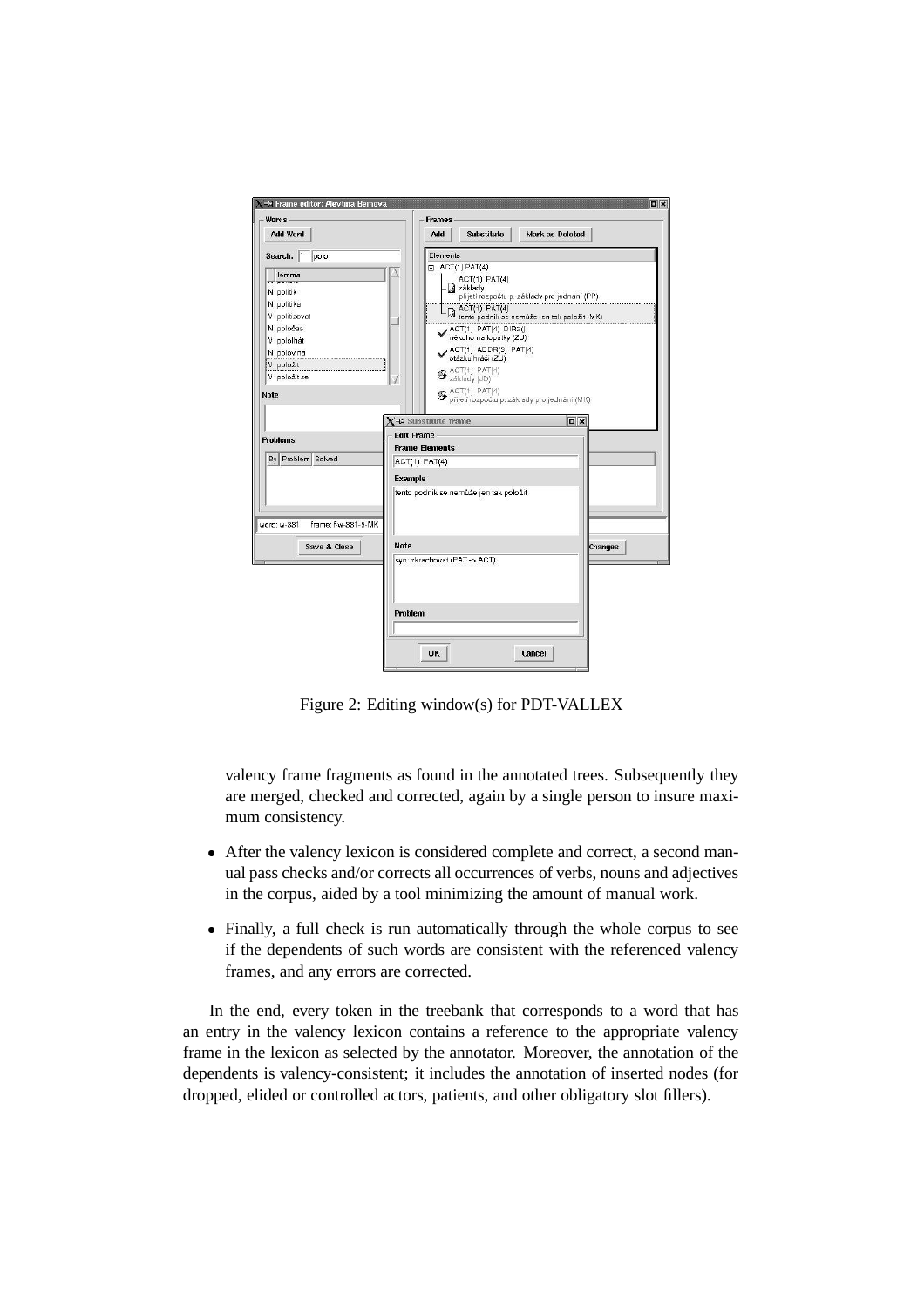

Figure 2: Editing window(s) for PDT-VALLEX

valency frame fragments as found in the annotated trees. Subsequently they are merged, checked and corrected, again by a single person to insure maximum consistency.

- After the valency lexicon is considered complete and correct, a second manual pass checks and/or corrects all occurrences of verbs, nouns and adjectives in the corpus, aided by a tool minimizing the amount of manual work.
- Finally, a full check is run automatically through the whole corpus to see if the dependents of such words are consistent with the referenced valency frames, and any errors are corrected.

In the end, every token in the treebank that corresponds to a word that has an entry in the valency lexicon contains a reference to the appropriate valency frame in the lexicon as selected by the annotator. Moreover, the annotation of the dependents is valency-consistent; it includes the annotation of inserted nodes (for dropped, elided or controlled actors, patients, and other obligatory slot fillers).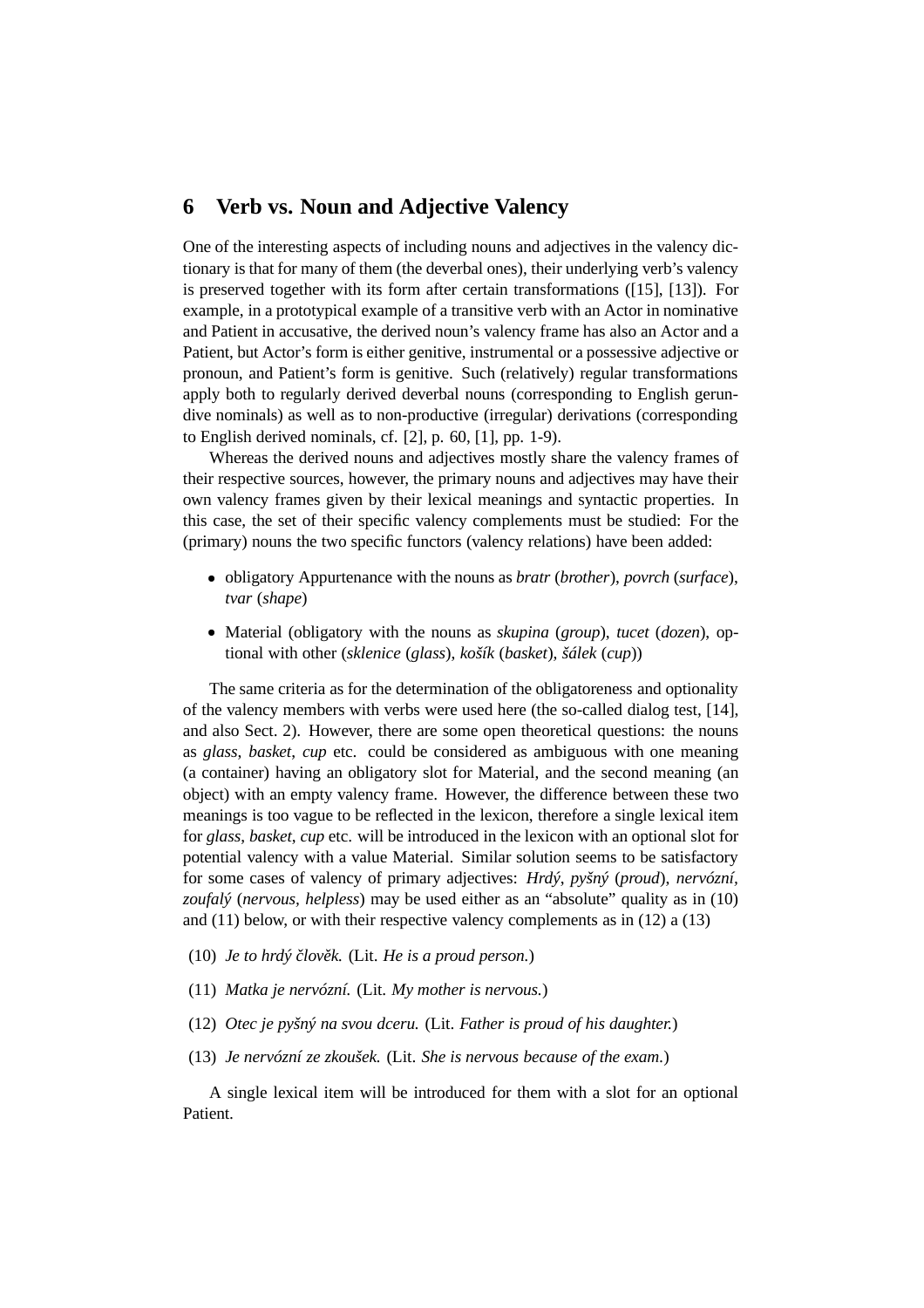#### **6 Verb vs. Noun and Adjective Valency**

One of the interesting aspects of including nouns and adjectives in the valency dictionary is that for many of them (the deverbal ones), their underlying verb's valency is preserved together with its form after certain transformations ([15], [13]). For example, in a prototypical example of a transitive verb with an Actor in nominative and Patient in accusative, the derived noun's valency frame has also an Actor and a Patient, but Actor's form is either genitive, instrumental or a possessive adjective or pronoun, and Patient's form is genitive. Such (relatively) regular transformations apply both to regularly derived deverbal nouns (corresponding to English gerundive nominals) as well as to non-productive (irregular) derivations (corresponding to English derived nominals, cf. [2], p. 60, [1], pp. 1-9).

Whereas the derived nouns and adjectives mostly share the valency frames of their respective sources, however, the primary nouns and adjectives may have their own valency frames given by their lexical meanings and syntactic properties. In this case, the set of their specific valency complements must be studied: For the (primary) nouns the two specific functors (valency relations) have been added:

- obligatory Appurtenance with the nouns as *bratr* (*brother*), *povrch* (*surface*), *tvar* (*shape*)
- Material (obligatory with the nouns as *skupina* (*group*), *tucet* (*dozen*), optional with other (*sklenice* (*glass*), *košík* (*basket*), *šálek* (*cup*))

The same criteria as for the determination of the obligatoreness and optionality of the valency members with verbs were used here (the so-called dialog test, [14], and also Sect. 2). However, there are some open theoretical questions: the nouns as *glass*, *basket*, *cup* etc. could be considered as ambiguous with one meaning (a container) having an obligatory slot for Material, and the second meaning (an object) with an empty valency frame. However, the difference between these two meanings is too vague to be reflected in the lexicon, therefore a single lexical item for *glass*, *basket*, *cup* etc. will be introduced in the lexicon with an optional slot for potential valency with a value Material. Similar solution seems to be satisfactory for some cases of valency of primary adjectives: *Hrdý*, *pyšný* (*proud*), *nervózní, zoufalý* (*nervous, helpless*) may be used either as an "absolute" quality as in (10) and (11) below, or with their respective valency complements as in (12) a (13)

- (10) *Je to hrdý clo ˇ vek. ˇ* (Lit. *He is a proud person.*)
- (11) *Matka je nervózní.* (Lit. *My mother is nervous.*)
- (12) *Otec je pyšný na svou dceru.* (Lit. *Father is proud of his daughter.*)
- (13) *Je nervózní ze zkoušek.* (Lit. *She is nervous because of the exam.*)

A single lexical item will be introduced for them with a slot for an optional Patient.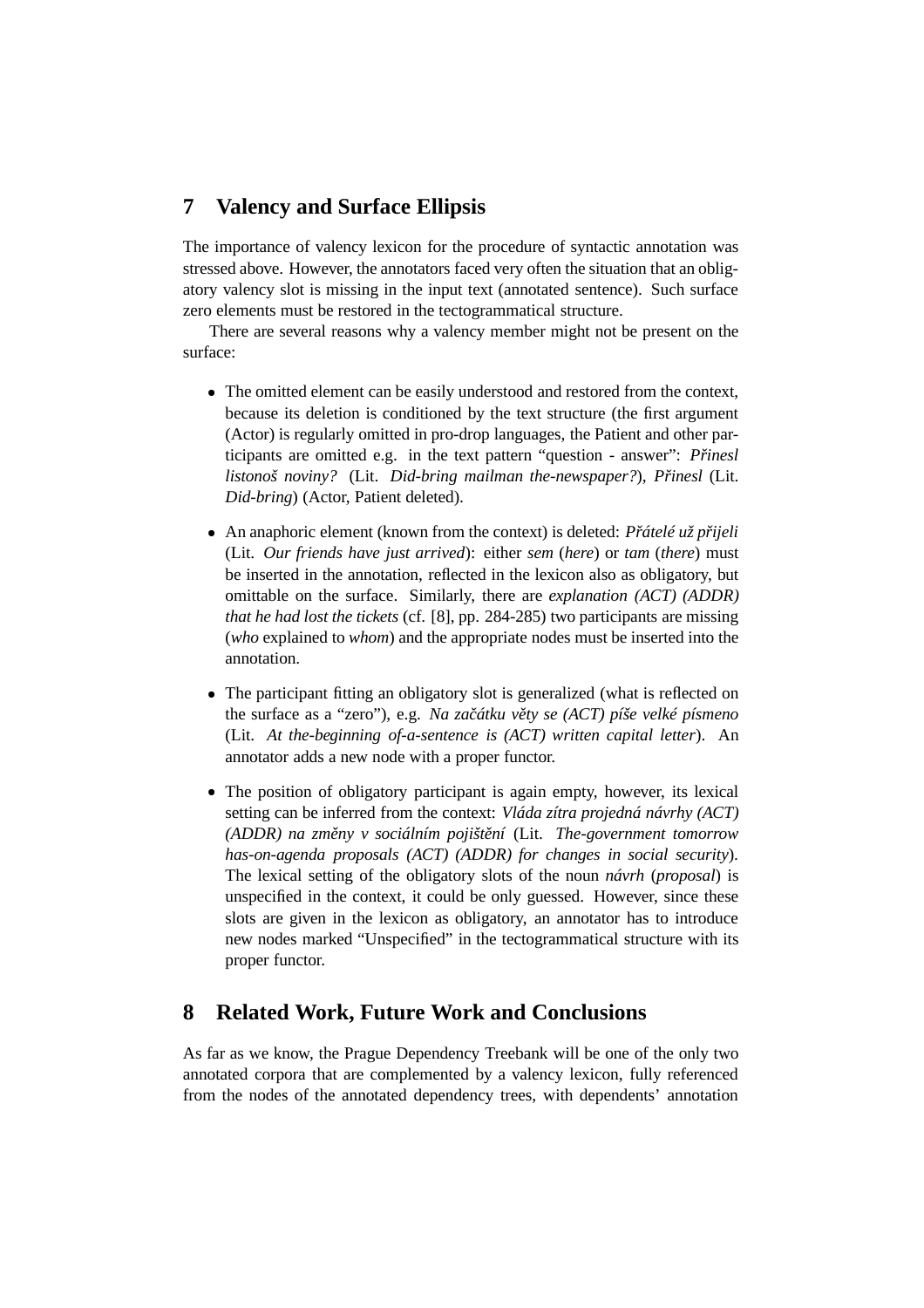# **7 Valency and Surface Ellipsis**

The importance of valency lexicon for the procedure of syntactic annotation was stressed above. However, the annotators faced very often the situation that an obligatory valency slot is missing in the input text (annotated sentence). Such surface zero elements must be restored in the tectogrammatical structure.

There are several reasons why a valency member might not be present on the surface:

- The omitted element can be easily understood and restored from the context, because its deletion is conditioned by the text structure (the first argument (Actor) is regularly omitted in pro-drop languages, the Patient and other participants are omitted e.g. in the text pattern "question - answer": *Přinesl listonoš noviny?* (Lit. *Did-bring mailman the-newspaper?*), *Prinesl ˇ* (Lit. *Did-bring*) (Actor, Patient deleted).
- An anaphoric element (known from the context) is deleted: *Přátelé už přijeli* (Lit. *Our friends have just arrived*): either *sem* (*here*) or *tam* (*there*) must be inserted in the annotation, reflected in the lexicon also as obligatory, but omittable on the surface. Similarly, there are *explanation (ACT) (ADDR) that he had lost the tickets* (cf. [8], pp. 284-285) two participants are missing (*who* explained to *whom*) and the appropriate nodes must be inserted into the annotation.
- The participant fitting an obligatory slot is generalized (what is reflected on the surface as a "zero"), e.g. *Na zacátku ˇ vety ˇ se (ACT) píše velké písmeno* (Lit. *At the-beginning of-a-sentence is (ACT) written capital letter*). An annotator adds a new node with a proper functor.
- The position of obligatory participant is again empty, however, its lexical setting can be inferred from the context: *Vláda zítra projedná návrhy (ACT) (ADDR) na zmeny ˇ v sociálním pojištení ˇ* (Lit. *The-government tomorrow has-on-agenda proposals (ACT) (ADDR) for changes in social security*). The lexical setting of the obligatory slots of the noun *návrh* (*proposal*) is unspecified in the context, it could be only guessed. However, since these slots are given in the lexicon as obligatory, an annotator has to introduce new nodes marked "Unspecified" in the tectogrammatical structure with its proper functor.

#### **8 Related Work, Future Work and Conclusions**

As far as we know, the Prague Dependency Treebank will be one of the only two annotated corpora that are complemented by a valency lexicon, fully referenced from the nodes of the annotated dependency trees, with dependents' annotation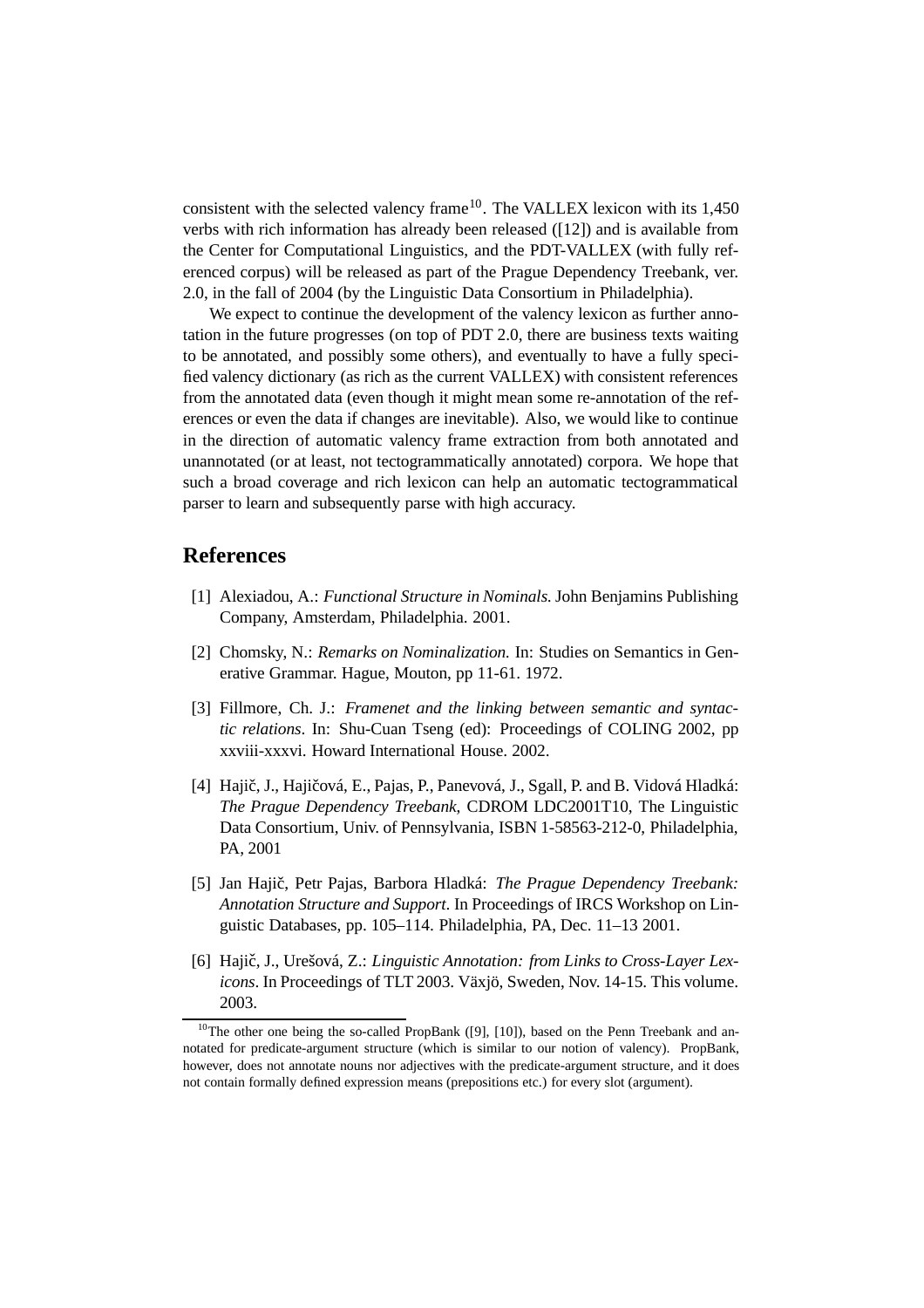consistent with the selected valency frame<sup>10</sup>. The VALLEX lexicon with its  $1,450$ verbs with rich information has already been released ([12]) and is available from the Center for Computational Linguistics, and the PDT-VALLEX (with fully referenced corpus) will be released as part of the Prague Dependency Treebank, ver. 2.0, in the fall of 2004 (by the Linguistic Data Consortium in Philadelphia).

We expect to continue the development of the valency lexicon as further annotation in the future progresses (on top of PDT 2.0, there are business texts waiting to be annotated, and possibly some others), and eventually to have a fully specified valency dictionary (as rich as the current VALLEX) with consistent references from the annotated data (even though it might mean some re-annotation of the references or even the data if changes are inevitable). Also, we would like to continue in the direction of automatic valency frame extraction from both annotated and unannotated (or at least, not tectogrammatically annotated) corpora. We hope that such a broad coverage and rich lexicon can help an automatic tectogrammatical parser to learn and subsequently parse with high accuracy.

#### **References**

- [1] Alexiadou, A.: *Functional Structure in Nominals.* John Benjamins Publishing Company, Amsterdam, Philadelphia. 2001.
- [2] Chomsky, N.: *Remarks on Nominalization.* In: Studies on Semantics in Generative Grammar. Hague, Mouton, pp 11-61. 1972.
- [3] Fillmore, Ch. J.: *Framenet and the linking between semantic and syntactic relations*. In: Shu-Cuan Tseng (ed): Proceedings of COLING 2002, pp xxviii-xxxvi. Howard International House. 2002.
- [4] Hajič, J., Hajičová, E., Pajas, P., Panevová, J., Sgall, P. and B. Vidová Hladká: *The Prague Dependency Treebank*, CDROM LDC2001T10, The Linguistic Data Consortium, Univ. of Pennsylvania, ISBN 1-58563-212-0, Philadelphia, PA, 2001
- [5] Jan Hajic,ˇ Petr Pajas, Barbora Hladká: *The Prague Dependency Treebank: Annotation Structure and Support*. In Proceedings of IRCS Workshop on Linguistic Databases, pp. 105–114. Philadelphia, PA, Dec. 11–13 2001.
- [6] Hajič, J., Urešová, Z.: *Linguistic Annotation: from Links to Cross-Layer Lexicons*. In Proceedings of TLT 2003. Växjö, Sweden, Nov. 14-15. This volume. 2003.

<sup>&</sup>lt;sup>10</sup>The other one being the so-called PropBank ([9], [10]), based on the Penn Treebank and annotated for predicate-argument structure (which is similar to our notion of valency). PropBank, however, does not annotate nouns nor adjectives with the predicate-argument structure, and it does not contain formally defined expression means (prepositions etc.) for every slot (argument).